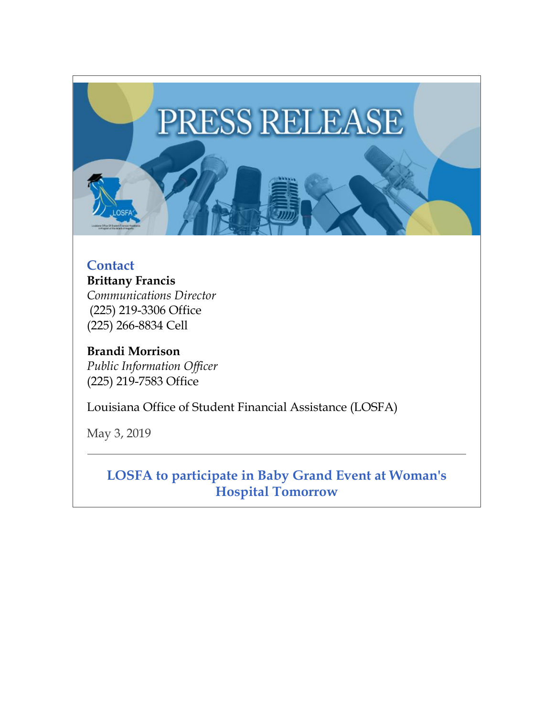

## **Contact**

**Brittany Francis** *Communications Director*  (225) 219-3306 Office (225) 266-8834 Cell

**Brandi Morrison** *Public Information Officer* (225) 219-7583 Office

Louisiana Office of Student Financial Assistance (LOSFA)

May 3, 2019

**LOSFA to participate in Baby Grand Event at Woman's Hospital Tomorrow**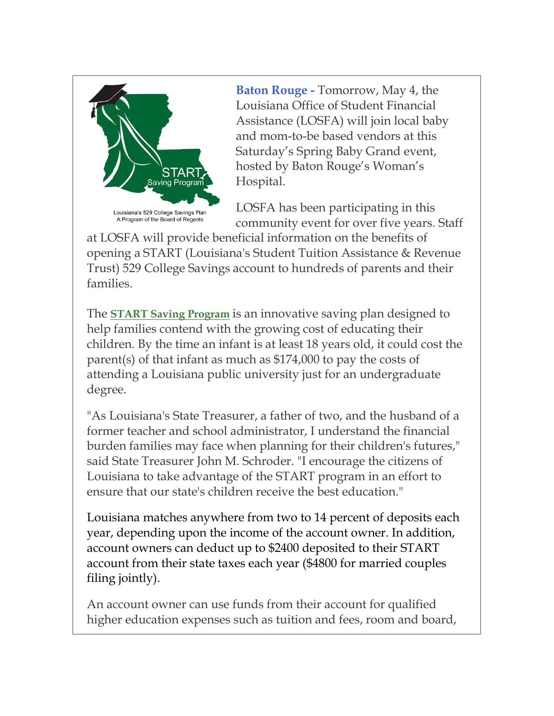

**Baton Rouge -** Tomorrow, May 4, the Louisiana Office of Student Financial Assistance (LOSFA) will join local baby and mom-to-be based vendors at this Saturday's Spring Baby Grand event, hosted by Baton Rouge's Woman's Hospital.

LOSFA has been participating in this community event for over five years. Staff

at LOSFA will provide beneficial information on the benefits of opening a START (Louisiana's Student Tuition Assistance & Revenue Trust) 529 College Savings account to hundreds of parents and their families.

The **[START Saving Program](https://www.startsaving.la.gov/)** is an innovative saving plan designed to help families contend with the growing cost of educating their children. By the time an infant is at least 18 years old, it could cost the parent(s) of that infant as much as \$174,000 to pay the costs of attending a Louisiana public university just for an undergraduate degree.

"As Louisiana's State Treasurer, a father of two, and the husband of a former teacher and school administrator, I understand the financial burden families may face when planning for their children's futures," said State Treasurer John M. Schroder. "I encourage the citizens of Louisiana to take advantage of the START program in an effort to ensure that our state's children receive the best education."

Louisiana matches anywhere from two to 14 percent of deposits each year, depending upon the income of the account owner. In addition, account owners can deduct up to \$2400 deposited to their START account from their state taxes each year (\$4800 for married couples filing jointly).

An account owner can use funds from their account for qualified higher education expenses such as tuition and fees, room and board,